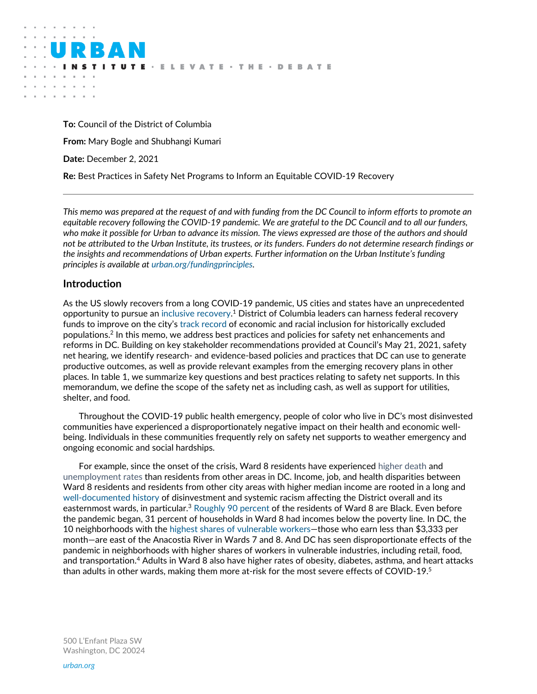**To:** Council of the District of Columbia **From:** Mary Bogle and Shubhangi Kumari **Date:** December 2, 2021 **Re:** Best Practices in Safety Net Programs to Inform an Equitable COVID-19 Recovery

**UTE** · ELEVATE · THE · DEBATE

*This memo was prepared at the request of and with funding from the DC Council to inform efforts to promote an equitable recovery following the COVID-19 pandemic. We are grateful to the DC Council and to all our funders, who make it possible for Urban to advance its mission. The views expressed are those of the authors and should not be attributed to the Urban Institute, its trustees, or its funders. Funders do not determine research findings or the insights and recommendations of Urban experts. Further information on the Urban Institute's funding principles is available at [urban.org/fundingprinciples.](http://www.urban.org/fundingprinciples)* 

# **Introduction**

 $\alpha$ 

As the US slowly recovers from a long COVID-19 pandemic, US cities and states have an unprecedented opportunity to pursue an [inclusive recovery.](https://www.urban.org/research/publication/inclusive-recovery-us-cities) <sup>1</sup> District of Columbia leaders can harness federal recovery funds to improve on the city's [track record](https://apps.urban.org/features/inclusion/index.html?city=washington_DC) of economic and racial inclusion for historically excluded populations. $2$  In this memo, we address best practices and policies for safety net enhancements and reforms in DC. Building on key stakeholder recommendations provided at Council's May 21, 2021, safety net hearing, we identify research- and evidence-based policies and practices that DC can use to generate productive outcomes, as well as provide relevant examples from the emerging recovery plans in other places. In table 1, we summarize key questions and best practices relating to safety net supports. In this memorandum, we define the scope of the safety net as including cash, as well as support for utilities, shelter, and food.

Throughout the COVID-19 public health emergency, people of color who live in DC's most disinvested communities have experienced a disproportionately negative impact on their health and economic wellbeing. Individuals in these communities frequently rely on safety net supports to weather emergency and ongoing economic and social hardships.

For example, since the onset of the crisis, Ward 8 residents have experienced [higher death](https://coronavirus.dc.gov/data) and [unemployment rates](https://does.dc.gov/sites/default/files/dc/sites/does/page_content/attachments/DC%20Ward%20DataAug20-Jul20-Aug19.pdf) than residents from other areas in DC. Income, job, and health disparities between Ward 8 residents and residents from other city areas with higher median income are rooted in a long and [well-documented history](https://urbanandracialequity.org/wp-content/uploads/2020/08/Structural-Racism-in-Washington-DC-1.pdf) of disinvestment and systemic racism affecting the District overall and its easternmost wards, in particular.<sup>3</sup> [Roughly 90 percent](https://greaterdc.urban.org/data-explorer?geography=wd12&indicator=PctBlackNonHispBridge&topic=population&year=2014-18) of the residents of Ward 8 are Black. Even before the pandemic began, 31 percent of households in Ward 8 had incomes below the poverty line. In DC, the 10 neighborhoods with the [highest shares of vulnerable workers](https://greaterdc.urban.org/blog/pandemics-disparate-effects-dc-workers-and-neighborhoods)—those who earn less than \$3,333 per month—are east of the Anacostia River in Wards 7 and 8. And DC has seen disproportionate effects of the pandemic in neighborhoods with higher shares of workers in vulnerable industries, including retail, food, and transportation.<sup>4</sup> Adults in Ward 8 also have higher rates of obesity, diabetes, asthma, and heart attacks than adults in other wards, making them more at-risk for the most severe effects of COVID-19.<sup>5</sup>

500 L'Enfant Plaza SW Washington, DC 20024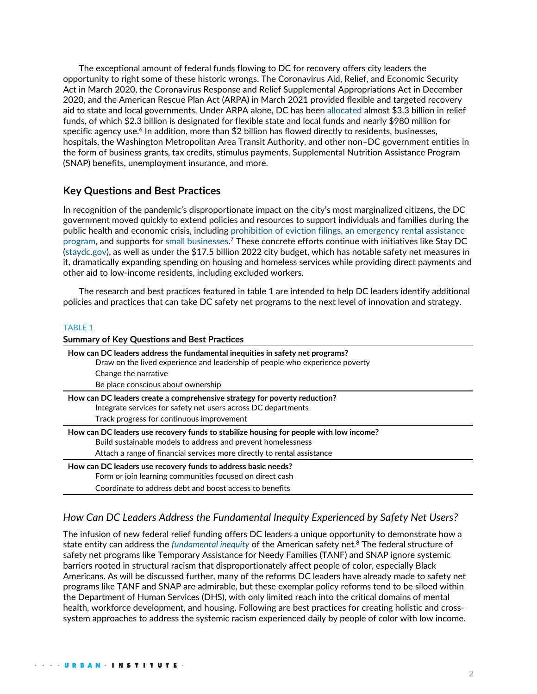The exceptional amount of federal funds flowing to DC for recovery offers city leaders the opportunity to right some of these historic wrongs. The Coronavirus Aid, Relief, and Economic Security Act in March 2020, the Coronavirus Response and Relief Supplemental Appropriations Act in December 2020, and the American Rescue Plan Act (ARPA) in March 2021 provided flexible and targeted recovery aid to state and local governments. Under ARPA alone, DC has been [allocated](https://oca.dc.gov/sites/default/files/dc/sites/oca/publication/attachments/DC_SLFRF%20Annual%20Report%202021%20and%20Project%20Inventory_web.pdf) almost \$3.3 billion in relief funds, of which \$2.3 billion is designated for flexible state and local funds and nearly \$980 million for specific agency use. $^6$  In addition, more than \$2 billion has flowed directly to residents, businesses, hospitals, the Washington Metropolitan Area Transit Authority, and other non–DC government entities in the form of business grants, tax credits, stimulus payments, Supplemental Nutrition Assistance Program (SNAP) benefits, unemployment insurance, and more.

# **Key Questions and Best Practices**

In recognition of the pandemic's disproportionate impact on the city's most marginalized citizens, the DC government moved quickly to extend policies and resources to support individuals and families during the public health and economic crisis, including [prohibition of eviction filings,](https://dcist.com/story/20/08/20/coronavirus-pandemic-eviction-dc-maryland-virginia/) an [emergency rental assistance](https://dhs.dc.gov/service/emergency-rental-assistance-program)  [program,](https://dhs.dc.gov/service/emergency-rental-assistance-program) and supports for [small businesses.](https://coronavirus.dc.gov/recovery-business)<sup>7</sup> These concrete efforts continue with initiatives like Stay DC (staydc.gov), as well as under the \$17.5 billion 2022 city budget, which has notable safety net measures in it, dramatically expanding spending on housing and homeless services while providing direct payments and other aid to low-income residents, including excluded workers.

The research and best practices featured in table 1 are intended to help DC leaders identify additional policies and practices that can take DC safety net programs to the next level of innovation and strategy.

#### TABLE 1

| <b>Summary of Key Questions and Best Practices</b>                                                                                                                                                                                |
|-----------------------------------------------------------------------------------------------------------------------------------------------------------------------------------------------------------------------------------|
| How can DC leaders address the fundamental inequities in safety net programs?<br>Draw on the lived experience and leadership of people who experience poverty                                                                     |
| Change the narrative                                                                                                                                                                                                              |
| Be place conscious about ownership                                                                                                                                                                                                |
| How can DC leaders create a comprehensive strategy for poverty reduction?<br>Integrate services for safety net users across DC departments                                                                                        |
| Track progress for continuous improvement                                                                                                                                                                                         |
| How can DC leaders use recovery funds to stabilize housing for people with low income?<br>Build sustainable models to address and prevent homelessness<br>Attach a range of financial services more directly to rental assistance |
| How can DC leaders use recovery funds to address basic needs?<br>Form or join learning communities focused on direct cash                                                                                                         |
| Coordinate to address debt and boost access to benefits                                                                                                                                                                           |

# *How Can DC Leaders Address the Fundamental Inequity Experienced by Safety Net Users?*

The infusion of new federal relief funding offers DC leaders a unique opportunity to demonstrate how a state entity can address the *[fundamental inequity](https://www.urban.org/urban-wire/poverty-results-structural-barriers-not-personal-choices-safety-net-programs-should-reflect-fact)* of the American safety net.<sup>8</sup> The federal structure of safety net programs like Temporary Assistance for Needy Families (TANF) and SNAP ignore systemic barriers rooted in structural racism that disproportionately affect people of color, especially Black Americans. As will be discussed further, many of the reforms DC leaders have already made to safety net programs like TANF and SNAP are admirable, but these exemplar policy reforms tend to be siloed within the Department of Human Services (DHS), with only limited reach into the critical domains of mental health, workforce development, and housing. Following are best practices for creating holistic and crosssystem approaches to address the systemic racism experienced daily by people of color with low income.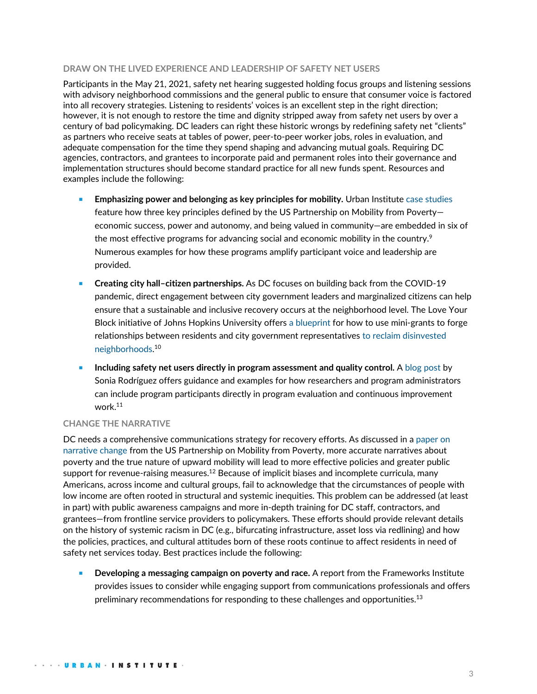### **DRAW ON THE LIVED EXPERIENCE AND LEADERSHIP OF SAFETY NET USERS**

Participants in the May 21, 2021, safety net hearing suggested holding focus groups and listening sessions with advisory neighborhood commissions and the general public to ensure that consumer voice is factored into all recovery strategies. Listening to residents' voices is an excellent step in the right direction; however, it is not enough to restore the time and dignity stripped away from safety net users by over a century of bad policymaking. DC leaders can right these historic wrongs by redefining safety net "clients" as partners who receive seats at tables of power, peer-to-peer worker jobs, roles in evaluation, and adequate compensation for the time they spend shaping and advancing mutual goals. Requiring DC agencies, contractors, and grantees to incorporate paid and permanent roles into their governance and implementation structures should become standard practice for all new funds spent. Resources and examples include the following:

- **Emphasizing power and belonging as key principles for mobility. Urban Institute [case studies](https://www.urban.org/research/publication/boosting-upward-mobility-exemplars)** feature how three key principles defined by the US Partnership on Mobility from Poverty economic success, power and autonomy, and being valued in community—are embedded in six of the most effective programs for advancing social and economic mobility in the country.<sup>9</sup> Numerous examples for how these programs amplify participant voice and leadership are provided.
- **Creating city hall-citizen partnerships.** As DC focuses on building back from the COVID-19 pandemic, direct engagement between city government leaders and marginalized citizens can help ensure that a sustainable and inclusive recovery occurs at the neighborhood level. The Love Your Block initiative of Johns Hopkins University offer[s a blueprint](https://citiesofservice.jhu.edu/resource/love-your-block/) for how to use mini-grants to forge relationships between residents and city government representatives [to reclaim disinvested](https://www.urban.org/research/publication/reclaiming-shared-space-through-city-citizen-collaboration)  [neighborhoods.](https://www.urban.org/research/publication/reclaiming-shared-space-through-city-citizen-collaboration) 10
- <sup>◼</sup> **Including safety net users directly in program assessment and quality control.** A [blog](https://medium.com/local-data-for-equitable-recovery/fostering-resident-led-research-across-all-stages-of-research-537f698764e1) post by Sonia Rodríguez offers guidance and examples for how researchers and program administrators can include program participants directly in program evaluation and continuous improvement work.<sup>11</sup>

### **CHANGE THE NARRATIVE**

DC needs a comprehensive communications strategy for recovery efforts. As discussed in a [paper on](https://www.mobilitypartnership.org/changing-narrative)  [narrative change](https://www.mobilitypartnership.org/changing-narrative) from the US Partnership on Mobility from Poverty, more accurate narratives about poverty and the true nature of upward mobility will lead to more effective policies and greater public support for revenue-raising measures.<sup>12</sup> Because of implicit biases and incomplete curricula, many Americans, across income and cultural groups, fail to acknowledge that the circumstances of people with low income are often rooted in structural and systemic inequities. This problem can be addressed (at least in part) with public awareness campaigns and more in-depth training for DC staff, contractors, and grantees—from frontline service providers to policymakers. These efforts should provide relevant details on the history of systemic racism in DC (e.g., bifurcating infrastructure, asset loss via redlining) and how the policies, practices, and cultural attitudes born of these roots continue to affect residents in need of safety net services today. Best practices include the following:

<sup>◼</sup> **Developing a messaging campaign on poverty and race.** A report from the Frameworks Institute provides issues to consider while engaging support from communications professionals and offers preliminary recommendations for responding to these challenges and opportunities. $^{\rm 13}$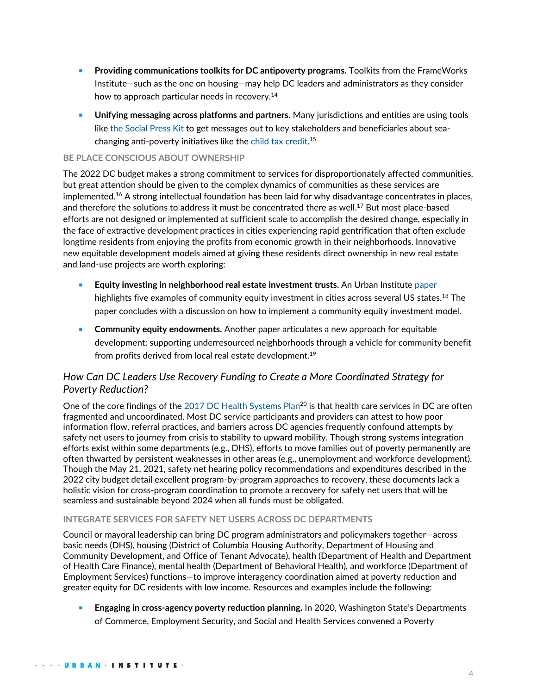- Providing communications toolkits for DC antipoverty programs. Toolkits from the FrameWorks Institute—such as the one on housing—may help DC leaders and administrators as they consider how to approach particular needs in recovery. 14
- **Unifying messaging across platforms and partners.** Many jurisdictions and entities are using tools lik[e the Social Press Kit](https://thesocialpresskit.com/) to get messages out to key stakeholders and beneficiaries about seachanging anti-poverty initiatives like the [child tax credit.](https://thesocialpresskit.com/ctcoutreach) 15

## **BE PLACE CONSCIOUS ABOUT OWNERSHIP**

The 2022 DC budget makes a strong commitment to services for disproportionately affected communities, but great attention should be given to the complex dynamics of communities as these services are implemented.<sup>16</sup> A strong intellectual foundation has been laid for why disadvantage concentrates in places, and therefore the solutions to address it must be concentrated there as well.<sup>17</sup> But most place-based efforts are not designed or implemented at sufficient scale to accomplish the desired change, especially in the face of extractive development practices in cities experiencing rapid gentrification that often exclude longtime residents from enjoying the profits from economic growth in their neighborhoods. Innovative new equitable development models aimed at giving these residents direct ownership in new real estate and land-use projects are worth exploring:

- <sup>◼</sup> **Equity investing in neighborhood real estate investment trusts.** An Urban Institute [paper](https://www.urban.org/research/publication/new-models-community-shareholding) highlights five examples of community equity investment in cities across several US states.<sup>18</sup> The paper concludes with a discussion on how to implement a community equity investment model.
- **Community equity endowments.** Another paper articulates a new approach for equitable development: supporting underresourced neighborhoods through a vehicle for community benefit from profits derived from local real estate development.<sup>19</sup>

# *How Can DC Leaders Use Recovery Funding to Create a More Coordinated Strategy for Poverty Reduction?*

One of the core findings of the [2017 DC Health Systems Plan](https://dchealth.dc.gov/sites/default/files/dc/sites/doh/publication/attachments/DC%20Health%20Systems%20Plan%202017_0.pdf)<sup>20</sup> is that health care services in DC are often fragmented and uncoordinated. Most DC service participants and providers can attest to how poor information flow, referral practices, and barriers across DC agencies frequently confound attempts by safety net users to journey from crisis to stability to upward mobility. Though strong systems integration efforts exist within some departments (e.g., DHS), efforts to move families out of poverty permanently are often thwarted by persistent weaknesses in other areas (e.g., unemployment and workforce development). Though the May 21, 2021, safety net hearing policy recommendations and expenditures described in the 2022 city budget detail excellent program-by-program approaches to recovery, these documents lack a holistic vision for cross-program coordination to promote a recovery for safety net users that will be seamless and sustainable beyond 2024 when all funds must be obligated.

### **INTEGRATE SERVICES FOR SAFETY NET USERS ACROSS DC DEPARTMENTS**

Council or mayoral leadership can bring DC program administrators and policymakers together—across basic needs (DHS), housing (District of Columbia Housing Authority, Department of Housing and Community Development, and Office of Tenant Advocate), health (Department of Health and Department of Health Care Finance), mental health (Department of Behavioral Health), and workforce (Department of Employment Services) functions—to improve interagency coordination aimed at poverty reduction and greater equity for DC residents with low income. Resources and examples include the following:

**Engaging in cross-agency poverty reduction planning.** In 2020, Washington State's Departments of Commerce, Employment Security, and Social and Health Services convened a Poverty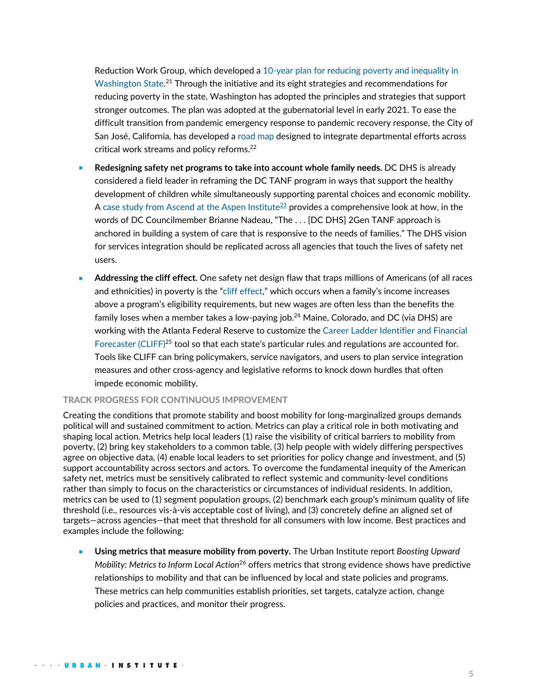Reduction Work Group, which developed a [10-year plan for reducing poverty and inequality in](https://dismantlepovertyinwa.com/wp-content/uploads/2020/02/2020_Jan_21_PRWG_10_year_plan_COORDINATING_DRAFT.pdf)  [Washington State.](https://dismantlepovertyinwa.com/wp-content/uploads/2020/02/2020_Jan_21_PRWG_10_year_plan_COORDINATING_DRAFT.pdf)<sup>21</sup> Through the initiative and its eight strategies and recommendations for reducing poverty in the state, Washington has adopted the principles and strategies that support stronger outcomes. The plan was adopted at the gubernatorial level in early 2021. To ease the difficult transition from pandemic emergency response to pandemic recovery response, the City of San José, California, has developed a [road](https://www.sanjoseca.gov/home/showpublisheddocument/76744/637660904762700000) map designed to integrate departmental efforts across critical work streams and policy reforms.<sup>22</sup>

- <sup>◼</sup> **Redesigning safety net programs to take into account whole family needs.** DC DHS is already considered a field leader in reframing the DC TANF program in ways that support the healthy development of children while simultaneously supporting parental choices and economic mobility. A [case study from Ascend at the Aspen Institute](https://ascend-resources.aspeninstitute.org/resources/two-generation-approach-to-leveraging-tanf-dc-as-a-case-study-for-policymakers/) $^{23}$  provides a comprehensive look at how, in the words of DC Councilmember Brianne Nadeau, "The . . . [DC DHS] 2Gen TANF approach is anchored in building a system of care that is responsive to the needs of families." The DHS vision for services integration should be replicated across all agencies that touch the lives of safety net users.
- <sup>◼</sup> **Addressing the cliff effect.** One safety net design flaw that traps millions of Americans (of all races and ethnicities) in poverty is the "[cliff effect,](https://ascend.aspeninstitute.org/reducing-the-cliff-effect-to-support-working-families/?_ga=2.128248524.1748220350.1620225380-1700535109.1620225380)" which occurs when a family's income increases above a program's eligibility requirements, but new wages are often less than the benefits the family loses when a member takes a low-paying job.<sup>24</sup> Maine, Colorado, and DC (via DHS) are working with the Atlanta Federal Reserve to customize the [Career Ladder Identifier and Financial](https://www.atlantafed.org/economic-mobility-and-resilience/advancing-careers-for-low-income-families/cliff-tool)  [Forecaster \(CLIFF\)](https://www.atlantafed.org/economic-mobility-and-resilience/advancing-careers-for-low-income-families/cliff-tool)<sup>25</sup> tool so that each state's particular rules and regulations are accounted for. Tools like CLIFF can bring policymakers, service navigators, and users to plan service integration measures and other cross-agency and legislative reforms to knock down hurdles that often impede economic mobility.

### **TRACK PROGRESS FOR CONTINUOUS IMPROVEMENT**

Creating the conditions that promote stability and boost mobility for long-marginalized groups demands political will and sustained commitment to action. Metrics can play a critical role in both motivating and shaping local action. Metrics help local leaders (1) raise the visibility of critical barriers to mobility from poverty, (2) bring key stakeholders to a common table, (3) help people with widely differing perspectives agree on objective data, (4) enable local leaders to set priorities for policy change and investment, and (5) support accountability across sectors and actors. To overcome the fundamental inequity of the American safety net, metrics must be sensitively calibrated to reflect systemic and community-level conditions rather than simply to focus on the characteristics or circumstances of individual residents. In addition, metrics can be used to (1) segment population groups, (2) benchmark each group's minimum quality of life threshold (i.e., resources vis-à-vis acceptable cost of living), and (3) concretely define an aligned set of targets—across agencies—that meet that threshold for all consumers with low income. Best practices and examples include the following:

■ **Using metrics that measure mobility from poverty.** The Urban Institute report *Boosting Upward Mobility: Metrics to Inform Local Action*<sup>26</sup> offers metrics that strong evidence shows have predictive relationships to mobility and that can be influenced by local and state policies and programs. These metrics can help communities establish priorities, set targets, catalyze action, change policies and practices, and monitor their progress.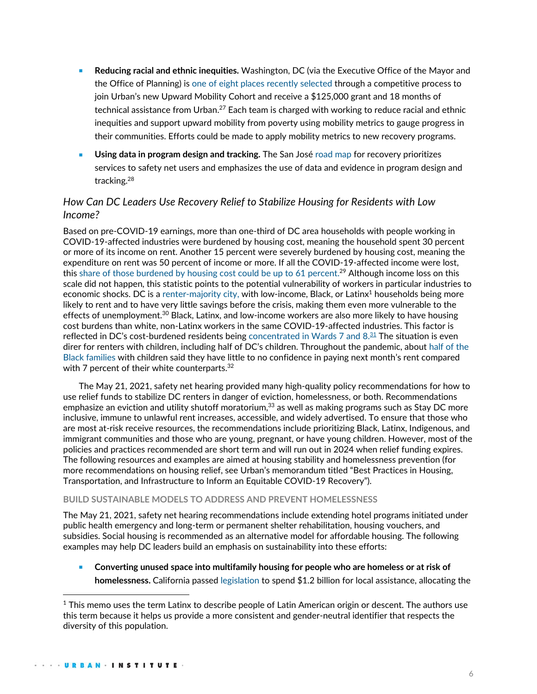- <sup>◼</sup> **Reducing racial and ethnic inequities.** Washington, DC (via the Executive Office of the Mayor and the Office of Planning) is [one of eight places](https://www.urban.org/urban-institute-selects-eight-counties-join-upward-mobility-cohort) recently selected through a competitive process to join Urban's new Upward Mobility Cohort and receive a \$125,000 grant and 18 months of technical assistance from Urban.<sup>27</sup> Each team is charged with working to reduce racial and ethnic inequities and support upward mobility from poverty using mobility metrics to gauge progress in their communities. Efforts could be made to apply mobility metrics to new recovery programs.
- Using data in program design and tracking. The San José [road](https://www.sanjoseca.gov/home/showpublisheddocument/76744/637660904762700000) map for recovery prioritizes services to safety net users and emphasizes the use of data and evidence in program design and tracking.<sup>28</sup>

# *How Can DC Leaders Use Recovery Relief to Stabilize Housing for Residents with Low Income?*

Based on pre-COVID-19 earnings, more than one-third of DC area households with people working in COVID-19-affected industries were burdened by housing cost, meaning the household spent 30 percent or more of its income on rent. Another 15 percent were severely burdened by housing cost, meaning the expenditure on rent was 50 percent of income or more. If all the COVID-19-affected income were lost, this [share of those burdened by housing cost could be up to 61 percent.](https://greaterdc.urban.org/blog/who-most-affected-economic-downturn-dc-region)<sup>29</sup> Although income loss on this scale did not happen, this statistic points to the potential vulnerability of workers in particular industries to economic shocks. DC is a [renter-majority city,](https://www.brookings.edu/research/what-will-it-cost-to-save-washington-d-c-s-renters-from-covid-19-eviction/) with low-income, Black, or Latinx $^4$  households being more likely to rent and to have very little savings before the crisis, making them even more vulnerable to the effects of unemployment.<sup>30</sup> Black, Latinx, and low-income workers are also more likely to have housing cost burdens than white, non-Latinx workers in the same COVID-19-affected industries. This factor is reflected in DC's cost-burdened residents being concentrated in Wards 7 and  $8.\overline{31}$  The situation is even direr for renters with children, including half of DC's children. Throughout the pandemic, about [half of the](https://www.wearedcaction.org/blog/policy-snapshot-housing-insecurity-eviction-pandemic)  [Black families](https://www.wearedcaction.org/blog/policy-snapshot-housing-insecurity-eviction-pandemic) with children said they have little to no confidence in paying next month's rent compared with 7 percent of their white counterparts.<sup>32</sup>

The May 21, 2021, safety net hearing provided many high-quality policy recommendations for how to use relief funds to stabilize DC renters in danger of eviction, homelessness, or both. Recommendations emphasize an eviction and utility shutoff moratorium,<sup>33</sup> as well as making programs such as Stay DC more inclusive, immune to unlawful rent increases, accessible, and widely advertised. To ensure that those who are most at-risk receive resources, the recommendations include prioritizing Black, Latinx, Indigenous, and immigrant communities and those who are young, pregnant, or have young children. However, most of the policies and practices recommended are short term and will run out in 2024 when relief funding expires. The following resources and examples are aimed at housing stability and homelessness prevention (for more recommendations on housing relief, see Urban's memorandum titled "Best Practices in Housing, Transportation, and Infrastructure to Inform an Equitable COVID-19 Recovery").

#### **BUILD SUSTAINABLE MODELS TO ADDRESS AND PREVENT HOMELESSNESS**

The May 21, 2021, safety net hearing recommendations include extending hotel programs initiated under public health emergency and long-term or permanent shelter rehabilitation, housing vouchers, and subsidies. Social housing is recommended as an alternative model for affordable housing. The following examples may help DC leaders build an emphasis on sustainability into these efforts:

<sup>◼</sup> **Converting unused space into multifamily housing for people who are homeless or at risk of homelessness.** California passe[d legislation](https://leginfo.legislature.ca.gov/faces/billTextClient.xhtml?bill_id=202120220AB128) to spend \$1.2 billion for local assistance, allocating the

 $1$  This memo uses the term Latinx to describe people of Latin American origin or descent. The authors use this term because it helps us provide a more consistent and gender-neutral identifier that respects the diversity of this population.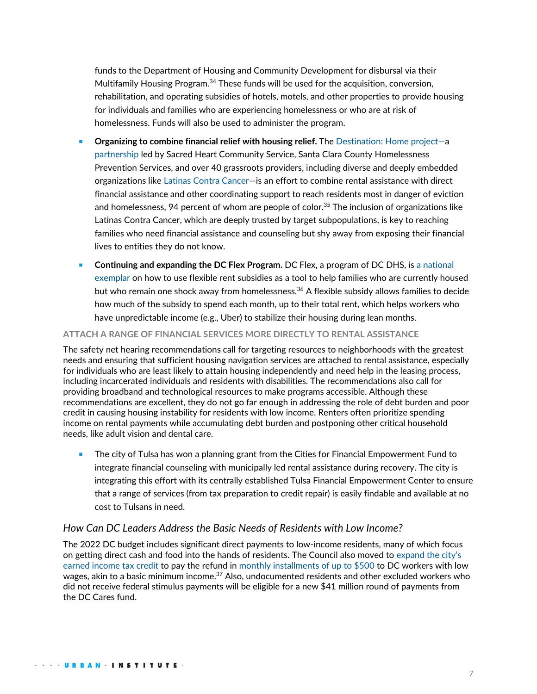funds to the Department of Housing and Community Development for disbursal via their Multifamily Housing Program.<sup>34</sup> These funds will be used for the acquisition, conversion, rehabilitation, and operating subsidies of hotels, motels, and other properties to provide housing for individuals and families who are experiencing homelessness or who are at risk of homelessness. Funds will also be used to administer the program.

- <sup>◼</sup> **Organizing to combine financial relief with housing relief.** The [Destination: Home project](https://destinationhomesv.org/documents/2021/02/covid-19-financial-rental-relief.pdf/)—a [partnership](https://destinationhomesv.org/covid-19/assistance/) led by Sacred Heart Community Service, Santa Clara County Homelessness Prevention Services, and over 40 grassroots providers, including diverse and deeply embedded organizations lik[e Latinas Contra Cancer](https://www.urban.org/features/out-pandemic-better-approach-homelessness)—is an effort to combine rental assistance with direct financial assistance and other coordinating support to reach residents most in danger of eviction and homelessness, 94 percent of whom are people of color.<sup>35</sup> The inclusion of organizations like Latinas Contra Cancer, which are deeply trusted by target subpopulations, is key to reaching families who need financial assistance and counseling but shy away from exposing their financial lives to entities they do not know.
- <sup>◼</sup> **Continuing and expanding the DC Flex Program.** DC Flex, a program of DC DHS, is [a national](https://thelabprojects.dc.gov/blog-dcflex)  [exemplar](https://thelabprojects.dc.gov/blog-dcflex) on how to use flexible rent subsidies as a tool to help families who are currently housed but who remain one shock away from homelessness.<sup>36</sup> A flexible subsidy allows families to decide how much of the subsidy to spend each month, up to their total rent, which helps workers who have unpredictable income (e.g., Uber) to stabilize their housing during lean months.

## **ATTACH A RANGE OF FINANCIAL SERVICES MORE DIRECTLY TO RENTAL ASSISTANCE**

The safety net hearing recommendations call for targeting resources to neighborhoods with the greatest needs and ensuring that sufficient housing navigation services are attached to rental assistance, especially for individuals who are least likely to attain housing independently and need help in the leasing process, including incarcerated individuals and residents with disabilities. The recommendations also call for providing broadband and technological resources to make programs accessible. Although these recommendations are excellent, they do not go far enough in addressing the role of debt burden and poor credit in causing housing instability for residents with low income. Renters often prioritize spending income on rental payments while accumulating debt burden and postponing other critical household needs, like adult vision and dental care.

■ The city of Tulsa has won a planning grant from the Cities for Financial Empowerment Fund to integrate financial counseling with municipally led rental assistance during recovery. The city is integrating this effort with its centrally established Tulsa Financial Empowerment Center to ensure that a range of services (from tax preparation to credit repair) is easily findable and available at no cost to Tulsans in need.

# *How Can DC Leaders Address the Basic Needs of Residents with Low Income?*

The 2022 DC budget includes significant direct payments to low-income residents, many of which focus on getting direct cash and food into the hands of residents. The Council also moved to [expand the city](https://dcist.com/story/21/07/22/new-dc-tax-measure-could-help-eradicate-poverty/)'s [earned income tax credit](https://dcist.com/story/21/07/22/new-dc-tax-measure-could-help-eradicate-poverty/) to pay the refund in [monthly installments of up to \\$500](https://twitter.com/charlesallen/status/1425182994281676800) to DC workers with low wages, akin to a basic minimum income.<sup>37</sup> Also, undocumented residents and other excluded workers who did not receive federal stimulus payments will be eligible for a new \$41 million round of payments from the DC Cares fund.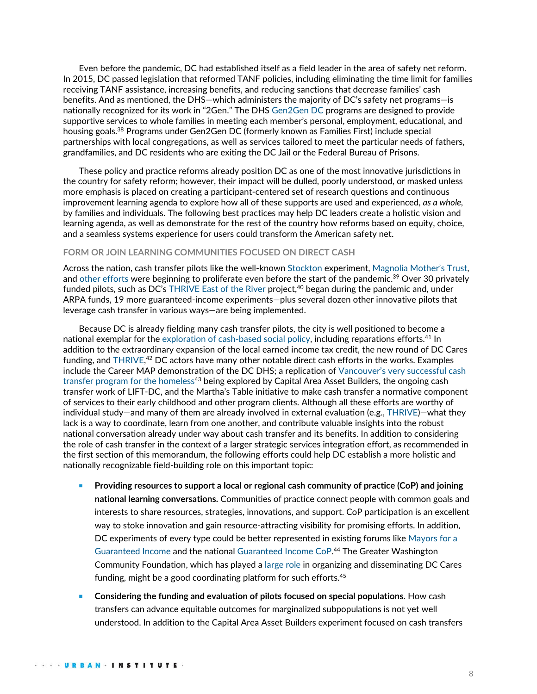Even before the pandemic, DC had established itself as a field leader in the area of safety net reform. In 2015, DC passed legislation that reformed TANF policies, including eliminating the time limit for families receiving TANF assistance, increasing benefits, and reducing sanctions that decrease families' cash benefits. And as mentioned, the DHS—which administers the majority of DC's safety net programs—is nationally recognized for its work in "2Gen." The DHS [Gen2Gen DC](https://dhs.dc.gov/service/gen2gen-dc-formerly-families-first) programs are designed to provide supportive services to whole families in meeting each member's personal, employment, educational, and housing goals.<sup>38</sup> Programs under Gen2Gen DC (formerly known as Families First) include special partnerships with local congregations, as well as services tailored to meet the particular needs of fathers, grandfamilies, and DC residents who are exiting the DC Jail or the Federal Bureau of Prisons.

These policy and practice reforms already position DC as one of the most innovative jurisdictions in the country for safety reform; however, their impact will be dulled, poorly understood, or masked unless more emphasis is placed on creating a participant-centered set of research questions and continuous improvement learning agenda to explore how all of these supports are used and experienced, *as a whole,*  by families and individuals. The following best practices may help DC leaders create a holistic vision and learning agenda, as well as demonstrate for the rest of the country how reforms based on equity, choice, and a seamless systems experience for users could transform the American safety net.

#### **FORM OR JOIN LEARNING COMMUNITIES FOCUSED ON DIRECT CASH**

Across the nation, cash transfer pilots like the well-known [Stockton](https://www.npr.org/2021/03/04/973653719/california-program-giving-500-no-strings-attached-stipends-pays-off-study-finds#:~:text=Ethics-,Stockton) experiment[, Magnolia Mother](https://springboardto.org/magnolia-mothers-trust/)'s Trust, an[d other efforts](https://www.nlc.org/resource/universal-basic-income-whos-piloting-it/) were beginning to proliferate even before the start of the pandemic.<sup>39</sup> Over 30 privately funded pilots, such as DC's [THRIVE East of the River](https://bbardc.org/thrive/) project,<sup>40</sup> began during the pandemic and, under ARPA funds, 19 more guaranteed-income experiments—plus several dozen other innovative pilots that leverage cash transfer in various ways—are being implemented.

Because DC is already fielding many cash transfer pilots, the city is well positioned to become a national exemplar for the [exploration of cash-based social policy,](https://greaterdc.urban.org/blog/insights-dc-cash-relief-program-can-inform-discussions-about-federal-cash-based-policies) including reparations efforts.<sup>41</sup> In addition to the extraordinary expansion of the local earned income tax credit, the new round of DC Cares funding, and [THRIVE,](https://greaterdc.urban.org/thrive-providing-cash-relief-dc-residents-hit-hardest-pandemic)<sup>42</sup> DC actors have many other notable direct cash efforts in the works. Examples include the Career MAP demonstration of the DC DHS; a replication of Vancouver'[s very successful cash](https://www.vox.com/future-perfect/21528569/homeless-poverty-cash-transfer-canada-new-leaf-project)  [transfer program for the homeless](https://www.vox.com/future-perfect/21528569/homeless-poverty-cash-transfer-canada-new-leaf-project)<sup>43</sup> being explored by Capital Area Asset Builders, the ongoing cash transfer work of LIFT-DC, and the Martha's Table initiative to make cash transfer a normative component of services to their early childhood and other program clients. Although all these efforts are worthy of individual study—and many of them are already involved in external evaluation (e.g., [THRIVE\)](https://greaterdc.urban.org/thrive-providing-cash-relief-dc-residents-hit-hardest-pandemic)—what they lack is a way to coordinate, learn from one another, and contribute valuable insights into the robust national conversation already under way about cash transfer and its benefits. In addition to considering the role of cash transfer in the context of a larger strategic services integration effort, as recommended in the first section of this memorandum, the following efforts could help DC establish a more holistic and nationally recognizable field-building role on this important topic:

- Providing resources to support a local or regional cash community of practice (CoP) and joining **national learning conversations.** Communities of practice connect people with common goals and interests to share resources, strategies, innovations, and support. CoP participation is an excellent way to stoke innovation and gain resource-attracting visibility for promising efforts. In addition, DC experiments of every type could be better represented in existing forums like [Mayors for a](https://www.mayorsforagi.org/)  [Guaranteed Income](https://www.mayorsforagi.org/) and the nationa[l Guaranteed Income CoP.](https://gicp.info/)<sup>44</sup> The Greater Washington Community Foundation, which has played a [large role](https://www.urban.org/research/publication/direct-cash-transfer-vehicle-speed-inclusivity-and-equity) in organizing and disseminating DC Cares funding, might be a good coordinating platform for such efforts.<sup>45</sup>
- <sup>◼</sup> **Considering the funding and evaluation of pilots focused on special populations.** How cash transfers can advance equitable outcomes for marginalized subpopulations is not yet well understood. In addition to the Capital Area Asset Builders experiment focused on cash transfers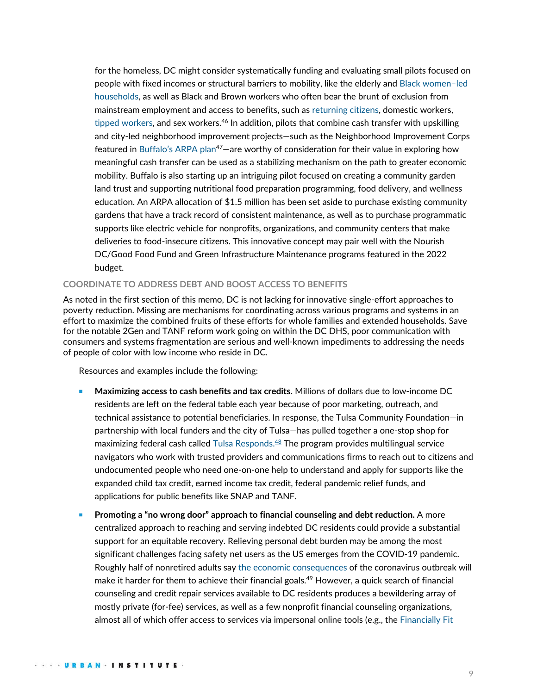for the homeless, DC might consider systematically funding and evaluating small pilots focused on people with fixed incomes or structural barriers to mobility, like the elderly and Black [women](https://pittsburgh.cbslocal.com/2021/09/08/pittsburgh-city-council-guaranteed-basic-income-pilot/)–led [households,](https://pittsburgh.cbslocal.com/2021/09/08/pittsburgh-city-council-guaranteed-basic-income-pilot/) as well as Black and Brown workers who often bear the brunt of exclusion from mainstream employment and access to benefits, such as [returning citizens,](https://www.mdrc.org/project/returning-citizens-stimulus-study#overview) domestic workers, [tipped workers,](https://onefairwage.site/wp-content/uploads/2020/11/OFW_LockedOut_NY_2.pdf) and sex workers.<sup>46</sup> In addition, pilots that combine cash transfer with upskilling and city-led neighborhood improvement projects—such as the Neighborhood Improvement Corps featured in Buffalo'[s ARPA plan](https://www.buffalony.gov/DocumentCenter/View/9204/DOC082521-08252021122846)<sup>47</sup>—are worthy of consideration for their value in exploring how meaningful cash transfer can be used as a stabilizing mechanism on the path to greater economic mobility. Buffalo is also starting up an intriguing pilot focused on creating a community garden land trust and supporting nutritional food preparation programming, food delivery, and wellness education. An ARPA allocation of \$1.5 million has been set aside to purchase existing community gardens that have a track record of consistent maintenance, as well as to purchase programmatic supports like electric vehicle for nonprofits, organizations, and community centers that make deliveries to food-insecure citizens. This innovative concept may pair well with the Nourish DC/Good Food Fund and Green Infrastructure Maintenance programs featured in the 2022 budget.

#### **COORDINATE TO ADDRESS DEBT AND BOOST ACCESS TO BENEFITS**

As noted in the first section of this memo, DC is not lacking for innovative single-effort approaches to poverty reduction. Missing are mechanisms for coordinating across various programs and systems in an effort to maximize the combined fruits of these efforts for whole families and extended households. Save for the notable 2Gen and TANF reform work going on within the DC DHS, poor communication with consumers and systems fragmentation are serious and well-known impediments to addressing the needs of people of color with low income who reside in DC.

Resources and examples include the following:

- <sup>◼</sup> **Maximizing access to cash benefits and tax credits.** Millions of dollars due to low-income DC residents are left on the federal table each year because of poor marketing, outreach, and technical assistance to potential beneficiaries. In response, the Tulsa Community Foundation—in partnership with local funders and the city of Tulsa—has pulled together a one-stop shop for maximizing federal cash called [Tulsa Responds.](https://www.tulsaresponds.org/) $^{48}$  The program provides multilingual service navigators who work with trusted providers and communications firms to reach out to citizens and undocumented people who need one-on-one help to understand and apply for supports like the expanded child tax credit, earned income tax credit, federal pandemic relief funds, and applications for public benefits like SNAP and TANF.
- <sup>◼</sup> **Promoting a "no wrong door" approach to financial counseling and debt reduction.** A more centralized approach to reaching and serving indebted DC residents could provide a substantial support for an equitable recovery. Relieving personal debt burden may be among the most significant challenges facing safety net users as the US emerges from the COVID-19 pandemic. Roughly half of nonretired adults say [the economic consequences](https://www.pewresearch.org/social-trends/2021/03/05/a-year-into-the-pandemic-long-term-financial-impact-weighs-heavily-on-many-americans/) of the coronavirus outbreak will make it harder for them to achieve their financial goals.<sup>49</sup> However, a quick search of financial counseling and credit repair services available to DC residents produces a bewildering array of mostly private (for-fee) services, as well as a few nonprofit financial counseling organizations, almost all of which offer access to services via impersonal online tools (e.g., the [Financially Fit](https://dmoi.dc.gov/page/financially-fit-dc)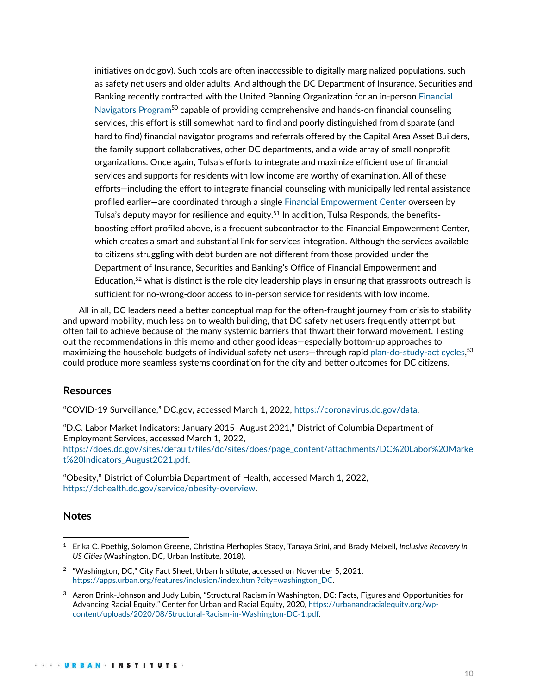initiatives on dc.gov). Such tools are often inaccessible to digitally marginalized populations, such as safety net users and older adults. And although the DC Department of Insurance, Securities and Banking recently contracted with the United Planning Organization for an in-perso[n Financial](https://disb.dc.gov/page/financial-navigators-program)  [Navigators Program](https://disb.dc.gov/page/financial-navigators-program)<sup>50</sup> capable of providing comprehensive and hands-on financial counseling services, this effort is still somewhat hard to find and poorly distinguished from disparate (and hard to find) financial navigator programs and referrals offered by the Capital Area Asset Builders, the family support collaboratives, other DC departments, and a wide array of small nonprofit organizations. Once again, Tulsa's efforts to integrate and maximize efficient use of financial services and supports for residents with low income are worthy of examination. All of these efforts—including the effort to integrate financial counseling with municipally led rental assistance profiled earlier—are coordinated through a single [Financial Empowerment Center](https://www.cityoftulsa.org/government/resilient-tulsa/financial-empowerment/) overseen by Tulsa's deputy mayor for resilience and equity.<sup>51</sup> In addition, Tulsa Responds, the benefitsboosting effort profiled above, is a frequent subcontractor to the Financial Empowerment Center, which creates a smart and substantial link for services integration. Although the services available to citizens struggling with debt burden are not different from those provided under the Department of Insurance, Securities and Banking's Office of Financial Empowerment and Education,<sup>52</sup> what is distinct is the role city leadership plays in ensuring that grassroots outreach is sufficient for no-wrong-door access to in-person service for residents with low income.

All in all, DC leaders need a better conceptual map for the often-fraught journey from crisis to stability and upward mobility, much less on to wealth building, that DC safety net users frequently attempt but often fail to achieve because of the many systemic barriers that thwart their forward movement. Testing out the recommendations in this memo and other good ideas—especially bottom-up approaches to maximizing the household budgets of individual safety net users—through rapid [plan-do-study-act cycles,](https://asq.org/quality-resources/pdca-cycle)<sup>53</sup> could produce more seamless systems coordination for the city and better outcomes for DC citizens.

### **Resources**

"COVID-19 Surveillance," DC.gov, accessed March 1, 2022, [https://coronavirus.dc.gov/data.](https://coronavirus.dc.gov/data)

"D.C. Labor Market Indicators: January 2015–August 2021," District of Columbia Department of Employment Services, accessed March 1, 2022,

[https://does.dc.gov/sites/default/files/dc/sites/does/page\\_content/attachments/DC%20Labor%20Marke](https://does.dc.gov/sites/default/files/dc/sites/does/page_content/attachments/DC%20Labor%20Market%20Indicators_August2021.pdf) [t%20Indicators\\_August2021.pdf.](https://does.dc.gov/sites/default/files/dc/sites/does/page_content/attachments/DC%20Labor%20Market%20Indicators_August2021.pdf) 

"Obesity," District of Columbia Department of Health, accessed March 1, 2022, [https://dchealth.dc.gov/service/obesity-overview.](https://dchealth.dc.gov/service/obesity-overview)

### **Notes**

<sup>1</sup> [Erika C. Poethig,](https://www.urban.org/author/erika-c-poethig) Solomon Greene, Christina Plerhoples Stacy, Tanaya Srini, and Brady Meixell, *Inclusive Recovery in US Cities* (Washington, DC, Urban Institute, 2018).

 $^2$  "Washington, DC," City Fact Sheet, Urban Institute, accessed on November 5, 2021. [https://apps.urban.org/features/inclusion/index.html?city=washington\\_DC.](https://apps.urban.org/features/inclusion/index.html?city=washington_DC)

<sup>3</sup> Aaron Brink-Johnson and Judy Lubin, "Structural Racism in Washington, DC: Facts, Figures and Opportunities for Advancing Racial Equity," Center for Urban and Racial Equity, 2020, [https://urbanandracialequity.org/wp](https://urbanandracialequity.org/wp-content/uploads/2020/08/Structural-Racism-in-Washington-DC-1.pdf)[content/uploads/2020/08/Structural-Racism-in-Washington-DC-1.pdf.](https://urbanandracialequity.org/wp-content/uploads/2020/08/Structural-Racism-in-Washington-DC-1.pdf)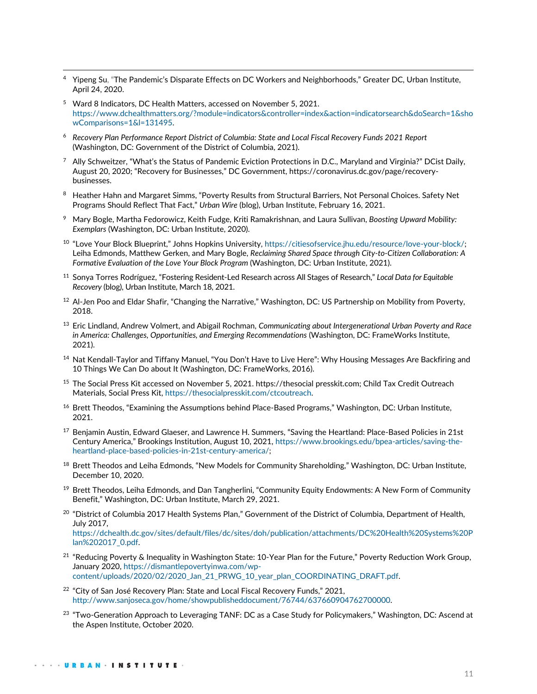- <sup>4</sup> Yipeng Su, "The Pandemic's Disparate Effects on DC Workers and Neighborhoods," Greater DC, Urban Institute, April 24, 2020.
- <sup>5</sup> Ward 8 Indicators, DC Health Matters, accessed on November 5, 2021. [https://www.dchealthmatters.org/?module=indicators&controller=index&action=indicatorsearch&doSearch=1&sho](https://www.dchealthmatters.org/?module=indicators&controller=index&action=indicatorsearch&doSearch=1&showComparisons=1&l=131495) [wComparisons=1&l=131495.](https://www.dchealthmatters.org/?module=indicators&controller=index&action=indicatorsearch&doSearch=1&showComparisons=1&l=131495)
- <sup>6</sup> *Recovery Plan Performance Report District of Columbia: State and Local Fiscal Recovery Funds 2021 Report* (Washington, DC: Government of the District of Columbia, 2021).
- <sup>7</sup> Ally Schweitzer, "What's the Status of Pandemic Eviction Protections in D.C., Maryland and Virginia?" DCist Daily, August 20, 2020; "Recovery for Businesses," DC Government, https://coronavirus.dc.gov/page/recoverybusinesses.
- 8 Heather Hahn and Margaret Simms, "Poverty Results from Structural Barriers, Not Personal Choices. Safety Net Programs Should Reflect That Fact," *Urban Wire* (blog), Urban Institute, February 16, 2021.
- <sup>9</sup> [Mary Bogle,](https://www.urban.org/author/mary-bogle) Martha Fedorowicz, Keith Fudge, Kriti Ramakrishnan, and Laura Sullivan, *Boosting Upward Mobility: Exemplars* (Washington, DC: Urban Institute, 2020).
- <sup>10</sup> "Love Your Block Blueprint," Johns Hopkins University, [https://citiesofservice.jhu.edu/resource/love-your-block/;](https://citiesofservice.jhu.edu/resource/love-your-block/) [Leiha Edmonds,](https://www.urban.org/author/leiha-edmonds) Matthew Gerken, and Mary Bogle, *Reclaiming Shared Space through City-to-Citizen Collaboration: A*  Formative Evaluation of the Love Your Block Program (Washington, DC: Urban Institute, 2021).
- <sup>11</sup> Sonya Torres Rodríguez, "Fostering Resident-Led Research across All Stages of Research," *Local Data for Equitable Recovery* (blog), Urban Institute, March 18, 2021.
- <sup>12</sup> Al-Jen Poo and Eldar Shafir, "Changing the Narrative," Washington, DC: US Partnership on Mobility from Poverty, 2018.
- <sup>13</sup> Eric Lindland, Andrew Volmert, and Abigail Rochman, *Communicating about Intergenerational Urban Poverty and Race in America: Challenges, Opportunities, and Emerging Recommendations* (Washington, DC: FrameWorks Institute, 2021).
- <sup>14</sup> Nat Kendall-Taylor and Tiffany Manuel, "You Don't Have to Live Here": Why Housing Messages Are Backfiring and 10 Things We Can Do about It (Washington, DC: FrameWorks, 2016).
- <sup>15</sup> The Social Press Kit accessed on November 5, 2021. https://thesocial presskit.com; Child Tax Credit Outreach Materials, Social Press Kit[, https://thesocialpresskit.com/ctcoutreach.](https://thesocialpresskit.com/ctcoutreach)
- <sup>16</sup> Brett Theodos, "Examining the Assumptions behind Place-Based Programs," Washington, DC: Urban Institute, 2021.
- <sup>17</sup> Benjamin Austin, Edward Glaeser, and Lawrence H. Summers, "Saving the Heartland: Place-Based Policies in 21st Century America," Brookings Institution, August 10, 2021, [https://www.brookings.edu/bpea-articles/saving-the](https://www.brookings.edu/bpea-articles/saving-the-heartland-place-based-policies-in-21st-century-america/)[heartland-place-based-policies-in-21st-century-america/;](https://www.brookings.edu/bpea-articles/saving-the-heartland-place-based-policies-in-21st-century-america/)
- <sup>18</sup> Brett Theodos and Leiha Edmonds, "New Models for Community Shareholding," Washington, DC: Urban Institute, December 10, 2020.
- <sup>19</sup> Brett Theodos, Leiha Edmonds, and Dan Tangherlini, "Community Equity Endowments: A New Form of Community Benefit," Washington, DC: Urban Institute, March 29, 2021.
- $^{20}$  "District of Columbia 2017 Health Systems Plan," Government of the District of Columbia, Department of Health, July 2017, [https://dchealth.dc.gov/sites/default/files/dc/sites/doh/publication/attachments/DC%20Health%20Systems%20P](https://dchealth.dc.gov/sites/default/files/dc/sites/doh/publication/attachments/DC%20Health%20Systems%20Plan%202017_0.pdf) [lan%202017\\_0.pdf.](https://dchealth.dc.gov/sites/default/files/dc/sites/doh/publication/attachments/DC%20Health%20Systems%20Plan%202017_0.pdf)
- <sup>21</sup> "Reducing Poverty & Inequality in Washington State: 10-Year Plan for the Future," Poverty Reduction Work Group, January 2020, [https://dismantlepovertyinwa.com/wp](https://dismantlepovertyinwa.com/wp-content/uploads/2020/02/2020_Jan_21_PRWG_10_year_plan_COORDINATING_DRAFT.pdf)[content/uploads/2020/02/2020\\_Jan\\_21\\_PRWG\\_10\\_year\\_plan\\_COORDINATING\\_DRAFT.pdf.](https://dismantlepovertyinwa.com/wp-content/uploads/2020/02/2020_Jan_21_PRWG_10_year_plan_COORDINATING_DRAFT.pdf)
- <sup>22</sup> "City of San José Recovery Plan: State and Local Fiscal Recovery Funds," 2021, [http://www.sanjoseca.gov/home/showpublisheddocument/76744/637660904762700000.](http://www.sanjoseca.gov/home/showpublisheddocument/76744/637660904762700000)
- <sup>23</sup> "Two-Generation Approach to Leveraging TANF: DC as a Case Study for Policymakers," Washington, DC: Ascend at the Aspen Institute, October 2020.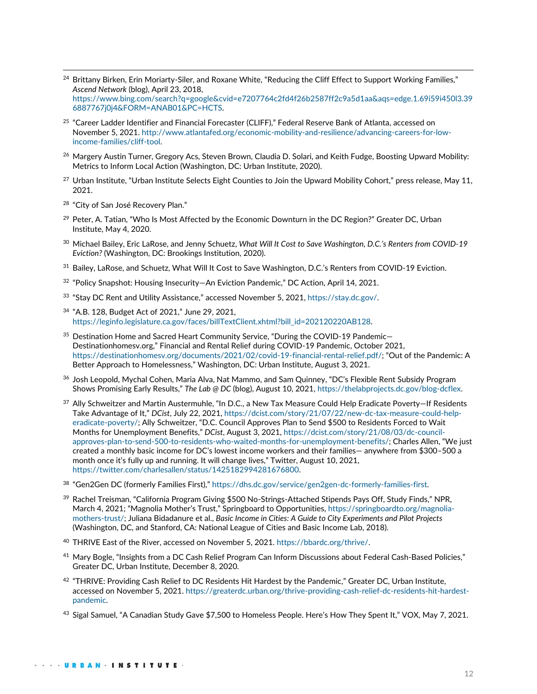- <sup>24</sup> Brittany Birken, Erin Moriarty-Siler, and Roxane White, "Reducing the Cliff Effect to Support Working Families," *Ascend Network* (blog), April 23, 2018, [https://www.bing.com/search?q=google&cvid=e7207764c2fd4f26b2587ff2c9a5d1aa&aqs=edge.1.69i59i450l3.39](https://www.bing.com/search?q=google&cvid=e7207764c2fd4f26b2587ff2c9a5d1aa&aqs=edge.1.69i59i450l3.396887767j0j4&FORM=ANAB01&PC=HCTS) [6887767j0j4&FORM=ANAB01&PC=HCTS.](https://www.bing.com/search?q=google&cvid=e7207764c2fd4f26b2587ff2c9a5d1aa&aqs=edge.1.69i59i450l3.396887767j0j4&FORM=ANAB01&PC=HCTS)
- <sup>25</sup> "Career Ladder Identifier and Financial Forecaster (CLIFF)," Federal Reserve Bank of Atlanta, accessed on November 5, 2021. [http://www.atlantafed.org/economic-mobility-and-resilience/advancing-careers-for-low](http://www.atlantafed.org/economic-mobility-and-resilience/advancing-careers-for-low-income-families/cliff-tool)[income-families/cliff-tool.](http://www.atlantafed.org/economic-mobility-and-resilience/advancing-careers-for-low-income-families/cliff-tool)
- <sup>26</sup> Margery Austin Turner, Gregory Acs, Steven Brown, Claudia D. Solari, and Keith Fudge, Boosting Upward Mobility: Metrics to Inform Local Action (Washington, DC: Urban Institute, 2020).
- <sup>27</sup> Urban Institute, "Urban Institute Selects Eight Counties to Join the Upward Mobility Cohort," press release, May 11, 2021.
- <sup>28</sup> "City of San José Recovery Plan."
- <sup>29</sup> Peter, A. Tatian, "Who Is Most Affected by the Economic Downturn in the DC Region?" Greater DC, Urban Institute, May 4, 2020.
- <sup>30</sup> Michael Bailey, Eric LaRose, and Jenny Schuetz, *What Will It Cost to Save Washington, D.C.'s Renters from COVID-19 Eviction?* (Washington, DC: Brookings Institution, 2020).
- <sup>31</sup> Bailey, LaRose, and Schuetz, What Will It Cost to Save Washington, D.C.'s Renters from COVID-19 Eviction.
- <sup>32</sup> "Policy Snapshot: Housing Insecurity—An Eviction Pandemic," DC Action, April 14, 2021.
- <sup>33</sup> "Stay DC Rent and Utility Assistance," accessed November 5, 2021, [https://stay.dc.gov/.](https://stay.dc.gov/)
- <sup>34</sup> "A.B. 128, Budget Act of 2021," June 29, 2021, [https://leginfo.legislature.ca.gov/faces/billTextClient.xhtml?bill\\_id=202120220AB128.](https://leginfo.legislature.ca.gov/faces/billTextClient.xhtml?bill_id=202120220AB128)
- <sup>35</sup> Destination Home and Sacred Heart Community Service, "During the COVID-19 Pandemic-Destinationhomesv.org," Financial and Rental Relief during COVID-19 Pandemic, October 2021, [https://destinationhomesv.org/documents/2021/02/covid-19-financial-rental-relief.pdf/;](https://destinationhomesv.org/documents/2021/02/covid-19-financial-rental-relief.pdf/) "Out of the Pandemic: A Better Approach to Homelessness," Washington, DC: Urban Institute, August 3, 2021.
- <sup>36</sup> Josh Leopold, Mychal Cohen, Maria Alva, Nat Mammo, and Sam Quinney, "DC's Flexible Rent Subsidy Program Shows Promising Early Results," *The Lab @ DC* (blog), August 10, 2021, [https://thelabprojects.dc.gov/blog-dcflex.](https://thelabprojects.dc.gov/blog-dcflex)
- 37 Ally Schweitzer and Martin Austermuhle, "In D.C., a New Tax Measure Could Help Eradicate Poverty–If Residents Take Advantage of It," *DCist*, July 22, 2021, [https://dcist.com/story/21/07/22/new-dc-tax-measure-could-help](https://dcist.com/story/21/07/22/new-dc-tax-measure-could-help-eradicate-poverty/)[eradicate-poverty/;](https://dcist.com/story/21/07/22/new-dc-tax-measure-could-help-eradicate-poverty/) Ally Schweitzer, "D.C. Council Approves Plan to Send \$500 to Residents Forced to Wait Months for Unemployment Benefits," *DCist*, August 3, 2021, [https://dcist.com/story/21/08/03/dc-council](https://dcist.com/story/21/08/03/dc-council-approves-plan-to-send-500-to-residents-who-waited-months-for-unemployment-benefits/)[approves-plan-to-send-500-to-residents-who-waited-months-for-unemployment-benefits/;](https://dcist.com/story/21/08/03/dc-council-approves-plan-to-send-500-to-residents-who-waited-months-for-unemployment-benefits/) Charles Allen, "We just created a monthly basic income for DC's lowest income workers and their families— anywhere from \$300–500 a month once it's fully up and running. It will change lives," Twitter, August 10, 2021, [https://twitter.com/charlesallen/status/1425182994281676800.](https://twitter.com/charlesallen/status/1425182994281676800)
- <sup>38</sup> "Gen2Gen DC (formerly Families First)," [https://dhs.dc.gov/service/gen2gen-dc-formerly-families-first.](https://dhs.dc.gov/service/gen2gen-dc-formerly-families-first)
- <sup>39</sup> Rachel Treisman, "California Program Giving \$500 No-Strings-Attached Stipends Pays Off, Study Finds," NPR, March 4, 2021; "Magnolia Mother's Trust," Springboard to Opportunities, [https://springboardto.org/magnolia](https://springboardto.org/magnolia-mothers-trust/)[mothers-trust/;](https://springboardto.org/magnolia-mothers-trust/) Juliana Bidadanure et al., *Basic Income in Cities: A Guide to City Experiments and Pilot Projects* (Washington, DC, and Stanford, CA: National League of Cities and Basic Income Lab, 2018).
- <sup>40</sup> THRIVE East of the River, accessed on November 5, 2021[. https://bbardc.org/thrive/.](https://bbardc.org/thrive/)
- <sup>41</sup> Mary Bogle, "Insights from a DC Cash Relief Program Can Inform Discussions about Federal Cash-Based Policies," Greater DC, Urban Institute, December 8, 2020.
- $^{42}$  "THRIVE: Providing Cash Relief to DC Residents Hit Hardest by the Pandemic," Greater DC, Urban Institute, accessed on November 5, 2021. [https://greaterdc.urban.org/thrive-providing-cash-relief-dc-residents-hit-hardest](https://greaterdc.urban.org/thrive-providing-cash-relief-dc-residents-hit-hardest-pandemic)[pandemic.](https://greaterdc.urban.org/thrive-providing-cash-relief-dc-residents-hit-hardest-pandemic)
- <sup>43</sup> Sigal Samuel, "A Canadian Study Gave \$7,500 to Homeless People. Here's How They Spent It," VOX, May 7, 2021.